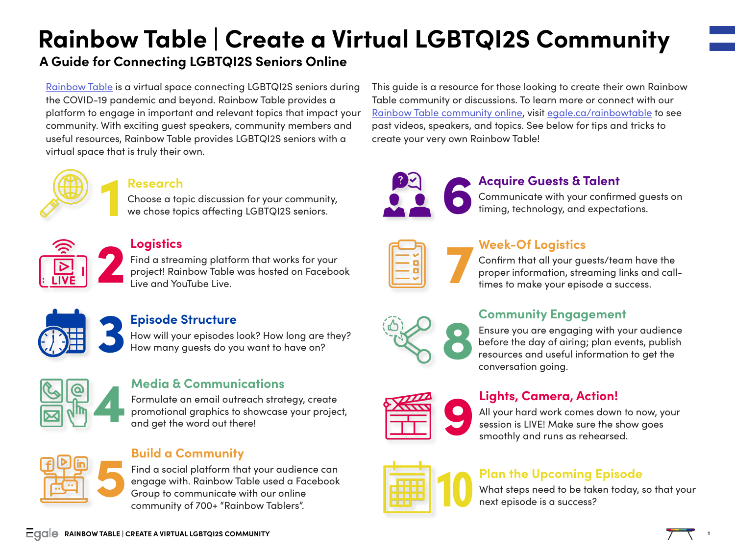# **Rainbow Table | Create a Virtual LGBTQI2S Community**

## **A Guide for Connecting LGBTQI2S Seniors Online**

[Rainbow Table](http://egale.ca/rainbowtable) is a virtual space connecting LGBTQI2S seniors during the COVID-19 pandemic and beyond. Rainbow Table provides a platform to engage in important and relevant topics that impact your community. With exciting guest speakers, community members and useful resources, Rainbow Table provides LGBTQI2S seniors with a virtual space that is truly their own.



#### **Research**

Choose a topic discussion for your community, we chose topics affecting LGBTQI2S seniors.



#### **Logistics**

Find a streaming platform that works for your project! Rainbow Table was hosted on Facebook<br>Live and YouTube Live.



### **Episode Structure**

How will your episodes look? How long are they?<br>How many guests do you want to have on?



#### **Media & Communications**

Formulate an email outreach strategy, create promotional graphics to showcase your project, and get the word out there!

### **Build a Community**

Find a social platform that your audience can engage with. Rainbow Table used a Facebook Bulla a Community<br>Find a social platform that your audien<br>engage with. Rainbow Table used a Face<br>Group to communicate with our online<br>community of 700+ "Painbow Tablers" community of 700+ "Rainbow Tablers".

This guide is a resource for those looking to create their own Rainbow Table community or discussions. To learn more or connect with our [Rainbow Table community online,](https://www.facebook.com/groups/rainbowtable) visit [egale.ca/rainbowtable](http://egale.ca/rainbowtable) to see past videos, speakers, and topics. See below for tips and tricks to create your very own Rainbow Table!



#### **Acquire Guests & Talent**

Communicate with your confirmed guests on timing, technology, and expectations.

| г                                               |  |
|-------------------------------------------------|--|
| ٦<br>_______                                    |  |
| the contract of the contract of the contract of |  |
|                                                 |  |

#### **Week-Of Logistics**

Confirm that all your guests/team have the proper information, streaming links and call-<br>times to make your episode a success.

#### **Community Engagement**

Ensure you are engaging with your audience before the day of airing; plan events, publish Ensure you are engaging with your audience<br>before the day of airing; plan events, publish<br>resources and useful information to get the<br>conversation aoing. conversation going.

| TTTTT |  |
|-------|--|
|       |  |
|       |  |
|       |  |

#### **Lights, Camera, Action!**

All your hard work comes down to now, your **Commerce Action!**<br>All your hard work comes down to now, you session is LIVE! Make sure the show goes smoothly and runs as rehearsed.

#### **Plan the Upcoming Episode**

What steps need to be taken today, so that your next episode is a success?

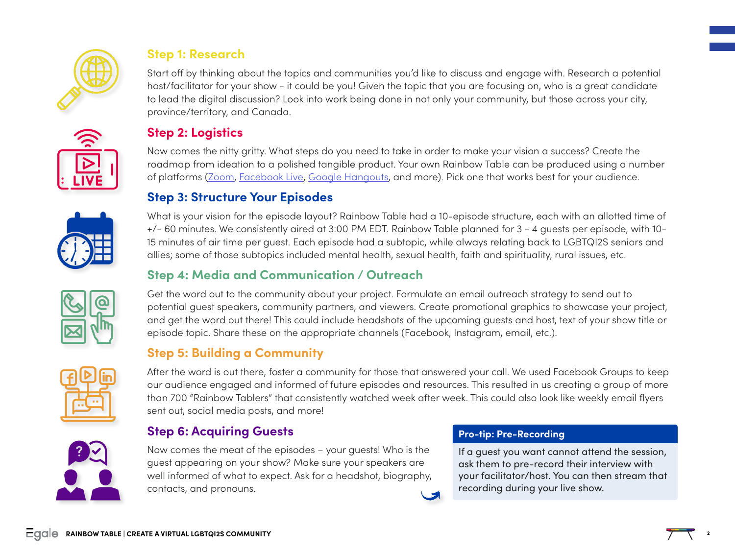

#### **Step 1: Research**

Start off by thinking about the topics and communities you'd like to discuss and engage with. Research a potential host/facilitator for your show - it could be you! Given the topic that you are focusing on, who is a great candidate to lead the digital discussion? Look into work being done in not only your community, but those across your city, province/territory, and Canada.

### **Step 2: Logistics**

Now comes the nitty gritty. What steps do you need to take in order to make your vision a success? Create the roadmap from ideation to a polished tangible product. Your own Rainbow Table can be produced using a number of platforms [\(Zoom](https://zoom.us/), [Facebook Live,](https://www.facebook.com/formedia/solutions/facebook-live) [Google Hangouts](https://hangouts.google.com/), and more). Pick one that works best for your audience.

#### **Step 3: Structure Your Episodes**

What is your vision for the episode layout? Rainbow Table had a 10-episode structure, each with an allotted time of +/- 60 minutes. We consistently aired at 3:00 PM EDT. Rainbow Table planned for 3 - 4 guests per episode, with 10- 15 minutes of air time per guest. Each episode had a subtopic, while always relating back to LGBTQI2S seniors and allies; some of those subtopics included mental health, sexual health, faith and spirituality, rural issues, etc.

#### **Step 4: Media and Communication / Outreach**

Get the word out to the community about your project. Formulate an email outreach strategy to send out to potential guest speakers, community partners, and viewers. Create promotional graphics to showcase your project, and get the word out there! This could include headshots of the upcoming guests and host, text of your show title or episode topic. Share these on the appropriate channels (Facebook, Instagram, email, etc.).

### **Step 5: Building a Community**



After the word is out there, foster a community for those that answered your call. We used Facebook Groups to keep our audience engaged and informed of future episodes and resources. This resulted in us creating a group of more than 700 "Rainbow Tablers" that consistently watched week after week. This could also look like weekly email flyers sent out, social media posts, and more!

#### **Step 6: Acquiring Guests**

Now comes the meat of the episodes – your guests! Who is the guest appearing on your show? Make sure your speakers are well informed of what to expect. Ask for a headshot, biography, contacts, and pronouns.

#### **Pro-tip: Pre-Recording**

If a guest you want cannot attend the session, ask them to pre-record their interview with your facilitator/host. You can then stream that recording during your live show.